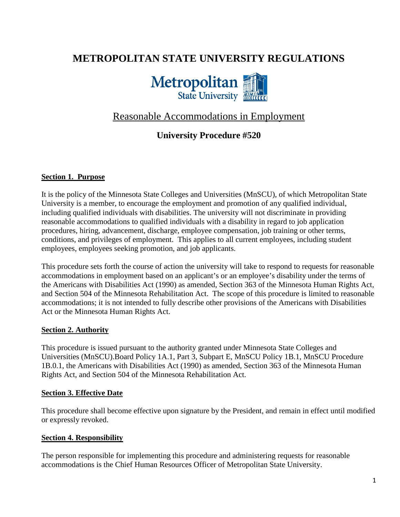# **METROPOLITAN STATE UNIVERSITY REGULATIONS**



## Reasonable Accommodations in Employment

### **University Procedure #520**

#### **Section 1. Purpose**

It is the policy of the Minnesota State Colleges and Universities (MnSCU), of which Metropolitan State University is a member, to encourage the employment and promotion of any qualified individual, including qualified individuals with disabilities. The university will not discriminate in providing reasonable accommodations to qualified individuals with a disability in regard to job application procedures, hiring, advancement, discharge, employee compensation, job training or other terms, conditions, and privileges of employment. This applies to all current employees, including student employees, employees seeking promotion, and job applicants.

This procedure sets forth the course of action the university will take to respond to requests for reasonable accommodations in employment based on an applicant's or an employee's disability under the terms of the Americans with Disabilities Act (1990) as amended, Section 363 of the Minnesota Human Rights Act, and Section 504 of the Minnesota Rehabilitation Act. The scope of this procedure is limited to reasonable accommodations; it is not intended to fully describe other provisions of the Americans with Disabilities Act or the Minnesota Human Rights Act.

#### **Section 2. Authority**

This procedure is issued pursuant to the authority granted under Minnesota State Colleges and Universities (MnSCU).Board Policy 1A.1, Part 3, Subpart E, MnSCU Policy 1B.1, MnSCU Procedure 1B.0.1, the Americans with Disabilities Act (1990) as amended, Section 363 of the Minnesota Human Rights Act, and Section 504 of the Minnesota Rehabilitation Act.

#### **Section 3. Effective Date**

This procedure shall become effective upon signature by the President, and remain in effect until modified or expressly revoked.

#### **Section 4. Responsibility**

The person responsible for implementing this procedure and administering requests for reasonable accommodations is the Chief Human Resources Officer of Metropolitan State University.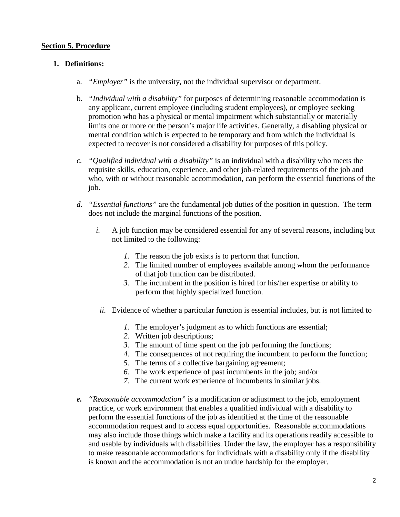#### **Section 5. Procedure**

#### **1. Definitions:**

- a. *"Employer"* is the university, not the individual supervisor or department.
- b. *"Individual with a disability"* for purposes of determining reasonable accommodation is any applicant, current employee (including student employees), or employee seeking promotion who has a physical or mental impairment which substantially or materially limits one or more or the person's major life activities. Generally, a disabling physical or mental condition which is expected to be temporary and from which the individual is expected to recover is not considered a disability for purposes of this policy.
- *c. "Qualified individual with a disability"* is an individual with a disability who meets the requisite skills, education, experience, and other job-related requirements of the job and who, with or without reasonable accommodation, can perform the essential functions of the job.
- *d. "Essential functions"* are the fundamental job duties of the position in question. The term does not include the marginal functions of the position.
	- *i.* A job function may be considered essential for any of several reasons, including but not limited to the following:
		- *1.* The reason the job exists is to perform that function.
		- *2.* The limited number of employees available among whom the performance of that job function can be distributed.
		- *3.* The incumbent in the position is hired for his/her expertise or ability to perform that highly specialized function.
	- *ii.* Evidence of whether a particular function is essential includes, but is not limited to
		- *1.* The employer's judgment as to which functions are essential;
		- *2.* Written job descriptions;
		- *3.* The amount of time spent on the job performing the functions;
		- *4.* The consequences of not requiring the incumbent to perform the function;
		- *5.* The terms of a collective bargaining agreement;
		- *6.* The work experience of past incumbents in the job; and/or
		- *7.* The current work experience of incumbents in similar jobs.
- *e. "Reasonable accommodation"* is a modification or adjustment to the job, employment practice, or work environment that enables a qualified individual with a disability to perform the essential functions of the job as identified at the time of the reasonable accommodation request and to access equal opportunities. Reasonable accommodations may also include those things which make a facility and its operations readily accessible to and usable by individuals with disabilities. Under the law, the employer has a responsibility to make reasonable accommodations for individuals with a disability only if the disability is known and the accommodation is not an undue hardship for the employer.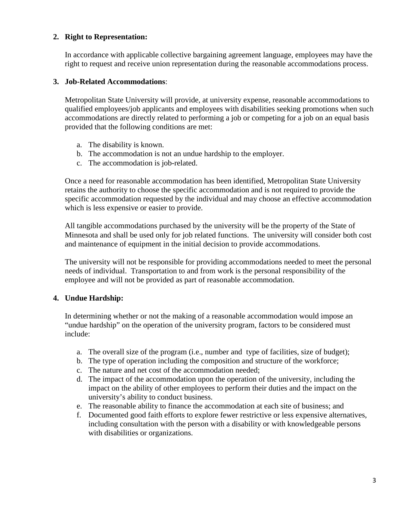#### **2. Right to Representation:**

In accordance with applicable collective bargaining agreement language, employees may have the right to request and receive union representation during the reasonable accommodations process.

#### **3. Job-Related Accommodations**:

Metropolitan State University will provide, at university expense, reasonable accommodations to qualified employees/job applicants and employees with disabilities seeking promotions when such accommodations are directly related to performing a job or competing for a job on an equal basis provided that the following conditions are met:

- a. The disability is known.
- b. The accommodation is not an undue hardship to the employer.
- c. The accommodation is job-related.

Once a need for reasonable accommodation has been identified, Metropolitan State University retains the authority to choose the specific accommodation and is not required to provide the specific accommodation requested by the individual and may choose an effective accommodation which is less expensive or easier to provide.

All tangible accommodations purchased by the university will be the property of the State of Minnesota and shall be used only for job related functions. The university will consider both cost and maintenance of equipment in the initial decision to provide accommodations.

The university will not be responsible for providing accommodations needed to meet the personal needs of individual. Transportation to and from work is the personal responsibility of the employee and will not be provided as part of reasonable accommodation.

#### **4. Undue Hardship:**

In determining whether or not the making of a reasonable accommodation would impose an "undue hardship" on the operation of the university program, factors to be considered must include:

- a. The overall size of the program (i.e., number and type of facilities, size of budget);
- b. The type of operation including the composition and structure of the workforce;
- c. The nature and net cost of the accommodation needed;
- d. The impact of the accommodation upon the operation of the university, including the impact on the ability of other employees to perform their duties and the impact on the university's ability to conduct business.
- e. The reasonable ability to finance the accommodation at each site of business; and
- f. Documented good faith efforts to explore fewer restrictive or less expensive alternatives, including consultation with the person with a disability or with knowledgeable persons with disabilities or organizations.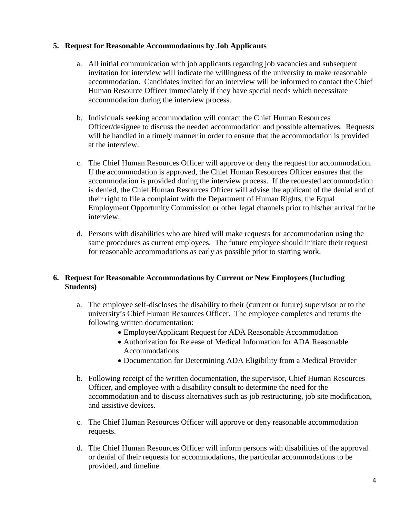#### **5. Request for Reasonable Accommodations by Job Applicants**

- a. All initial communication with job applicants regarding job vacancies and subsequent invitation for interview will indicate the willingness of the university to make reasonable accommodation. Candidates invited for an interview will be informed to contact the Chief Human Resource Officer immediately if they have special needs which necessitate accommodation during the interview process.
- b. Individuals seeking accommodation will contact the Chief Human Resources Officer/designee to discuss the needed accommodation and possible alternatives. Requests will be handled in a timely manner in order to ensure that the accommodation is provided at the interview.
- c. The Chief Human Resources Officer will approve or deny the request for accommodation. If the accommodation is approved, the Chief Human Resources Officer ensures that the accommodation is provided during the interview process. If the requested accommodation is denied, the Chief Human Resources Officer will advise the applicant of the denial and of their right to file a complaint with the Department of Human Rights, the Equal Employment Opportunity Commission or other legal channels prior to his/her arrival for he interview.
- d. Persons with disabilities who are hired will make requests for accommodation using the same procedures as current employees. The future employee should initiate their request for reasonable accommodations as early as possible prior to starting work.

#### **6. Request for Reasonable Accommodations by Current or New Employees (Including Students)**

- a. The employee self-discloses the disability to their (current or future) supervisor or to the university's Chief Human Resources Officer. The employee completes and returns the following written documentation:
	- Employee/Applicant Request for ADA Reasonable Accommodation
	- Authorization for Release of Medical Information for ADA Reasonable Accommodations
	- Documentation for Determining ADA Eligibility from a Medical Provider
- b. Following receipt of the written documentation, the supervisor, Chief Human Resources Officer, and employee with a disability consult to determine the need for the accommodation and to discuss alternatives such as job restructuring, job site modification, and assistive devices.
- c. The Chief Human Resources Officer will approve or deny reasonable accommodation requests.
- d. The Chief Human Resources Officer will inform persons with disabilities of the approval or denial of their requests for accommodations, the particular accommodations to be provided, and timeline.